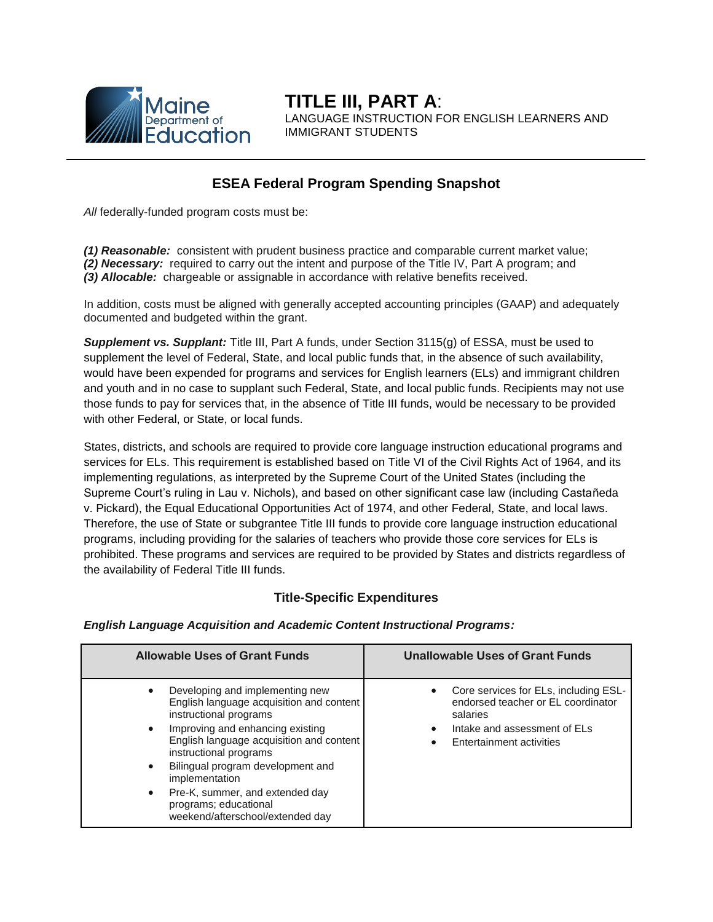

**TITLE III, PART A**: LANGUAGE INSTRUCTION FOR ENGLISH LEARNERS AND IMMIGRANT STUDENTS

# **ESEA Federal Program Spending Snapshot**

*All* federally-funded program costs must be:

*(1) Reasonable:* consistent with prudent business practice and comparable current market value; *(2) Necessary:* required to carry out the intent and purpose of the Title IV, Part A program; and *(3) Allocable:* chargeable or assignable in accordance with relative benefits received.

In addition, costs must be aligned with generally accepted accounting principles (GAAP) and adequately documented and budgeted within the grant.

*Supplement vs. Supplant:* Title III, Part A funds, under Section 3115(g) of ESSA, must be used to supplement the level of Federal, State, and local public funds that, in the absence of such availability, would have been expended for programs and services for English learners (ELs) and immigrant children and youth and in no case to supplant such Federal, State, and local public funds. Recipients may not use those funds to pay for services that, in the absence of Title III funds, would be necessary to be provided with other Federal, or State, or local funds.

States, districts, and schools are required to provide core language instruction educational programs and services for ELs. This requirement is established based on Title VI of the Civil Rights Act of 1964, and its implementing regulations, as interpreted by the Supreme Court of the United States (including the Supreme Court's ruling in Lau v. Nichols), and based on other significant case law (including Castañeda v. Pickard), the Equal Educational Opportunities Act of 1974, and other Federal, State, and local laws. Therefore, the use of State or subgrantee Title III funds to provide core language instruction educational programs, including providing for the salaries of teachers who provide those core services for ELs is prohibited. These programs and services are required to be provided by States and districts regardless of the availability of Federal Title III funds.

### **Title-Specific Expenditures**

*English Language Acquisition and Academic Content Instructional Programs:*

| <b>Allowable Uses of Grant Funds</b>                                                                                                                                                                                                                                                                                                                                                                                       | <b>Unallowable Uses of Grant Funds</b>                                                                                                              |
|----------------------------------------------------------------------------------------------------------------------------------------------------------------------------------------------------------------------------------------------------------------------------------------------------------------------------------------------------------------------------------------------------------------------------|-----------------------------------------------------------------------------------------------------------------------------------------------------|
| Developing and implementing new<br>$\bullet$<br>English language acquisition and content<br>instructional programs<br>Improving and enhancing existing<br>$\bullet$<br>English language acquisition and content<br>instructional programs<br>Bilingual program development and<br>$\bullet$<br>implementation<br>Pre-K, summer, and extended day<br>$\bullet$<br>programs; educational<br>weekend/afterschool/extended day | Core services for ELs, including ESL-<br>endorsed teacher or EL coordinator<br>salaries<br>Intake and assessment of ELs<br>Entertainment activities |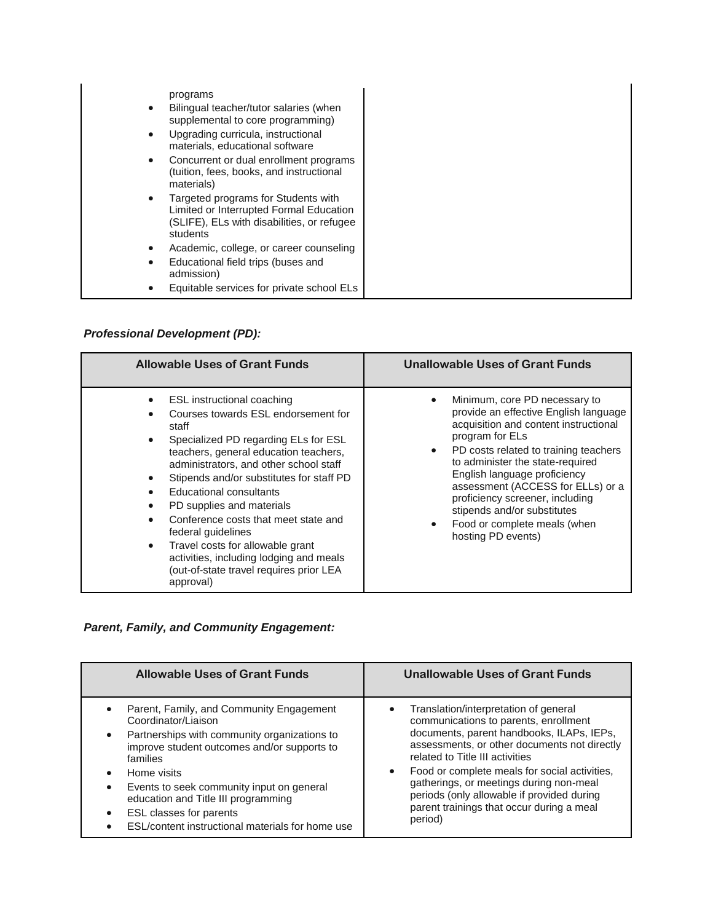| $\bullet$<br>$\bullet$<br>$\bullet$ | programs<br>Bilingual teacher/tutor salaries (when<br>supplemental to core programming)<br>Upgrading curricula, instructional<br>materials, educational software<br>Concurrent or dual enrollment programs<br>(tuition, fees, books, and instructional<br>materials) |  |
|-------------------------------------|----------------------------------------------------------------------------------------------------------------------------------------------------------------------------------------------------------------------------------------------------------------------|--|
| $\bullet$                           | Targeted programs for Students with<br>Limited or Interrupted Formal Education<br>(SLIFE), ELs with disabilities, or refugee<br>students                                                                                                                             |  |
| $\bullet$                           | Academic, college, or career counseling                                                                                                                                                                                                                              |  |
| $\bullet$                           | Educational field trips (buses and<br>admission)                                                                                                                                                                                                                     |  |
|                                     | Equitable services for private school ELs                                                                                                                                                                                                                            |  |

# *Professional Development (PD):*

| <b>Allowable Uses of Grant Funds</b>                                                                                                                                                                                                                                                                                                                                                                                                                                                                                                                                                         | <b>Unallowable Uses of Grant Funds</b>                                                                                                                                                                                                                                                                                                                                                                                    |
|----------------------------------------------------------------------------------------------------------------------------------------------------------------------------------------------------------------------------------------------------------------------------------------------------------------------------------------------------------------------------------------------------------------------------------------------------------------------------------------------------------------------------------------------------------------------------------------------|---------------------------------------------------------------------------------------------------------------------------------------------------------------------------------------------------------------------------------------------------------------------------------------------------------------------------------------------------------------------------------------------------------------------------|
| ESL instructional coaching<br>$\bullet$<br>Courses towards ESL endorsement for<br>staff<br>Specialized PD regarding ELs for ESL<br>$\bullet$<br>teachers, general education teachers,<br>administrators, and other school staff<br>Stipends and/or substitutes for staff PD<br>$\bullet$<br>Educational consultants<br>PD supplies and materials<br>$\bullet$<br>Conference costs that meet state and<br>$\bullet$<br>federal quidelines<br>Travel costs for allowable grant<br>$\bullet$<br>activities, including lodging and meals<br>(out-of-state travel requires prior LEA<br>approval) | Minimum, core PD necessary to<br>provide an effective English language<br>acquisition and content instructional<br>program for ELs<br>PD costs related to training teachers<br>$\bullet$<br>to administer the state-required<br>English language proficiency<br>assessment (ACCESS for ELLs) or a<br>proficiency screener, including<br>stipends and/or substitutes<br>Food or complete meals (when<br>hosting PD events) |

### *Parent, Family, and Community Engagement:*

| <b>Allowable Uses of Grant Funds</b>             | Unallowable Uses of Grant Funds               |
|--------------------------------------------------|-----------------------------------------------|
| Parent, Family, and Community Engagement         | Translation/interpretation of general         |
| Coordinator/Liaison                              | ٠                                             |
| Partnerships with community organizations to     | communications to parents, enrollment         |
| $\bullet$                                        | documents, parent handbooks, ILAPs, IEPs,     |
| improve student outcomes and/or supports to      | assessments, or other documents not directly  |
| families                                         | related to Title III activities               |
| Home visits                                      | Food or complete meals for social activities, |
| Events to seek community input on general        | $\bullet$                                     |
| $\bullet$                                        | gatherings, or meetings during non-meal       |
| education and Title III programming              | periods (only allowable if provided during    |
| ESL classes for parents                          | parent trainings that occur during a meal     |
| ESL/content instructional materials for home use | period)                                       |